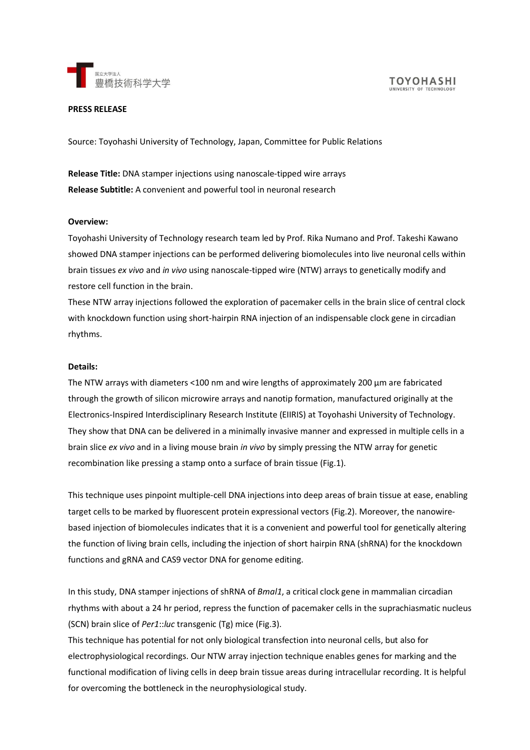

### **PRESS RELEASE**

Source: Toyohashi University of Technology, Japan, Committee for Public Relations

**Release Title:** DNA stamper injections using nanoscale-tipped wire arrays **Release Subtitle:** A convenient and powerful tool in neuronal research

### **Overview:**

Toyohashi University of Technology research team led by Prof. Rika Numano and Prof. Takeshi Kawano showed DNA stamper injections can be performed delivering biomolecules into live neuronal cells within brain tissues *ex vivo* and *in vivo* using nanoscale-tipped wire (NTW) arrays to genetically modify and restore cell function in the brain.

These NTW array injections followed the exploration of pacemaker cells in the brain slice of central clock with knockdown function using short-hairpin RNA injection of an indispensable clock gene in circadian rhythms.

### **Details:**

The NTW arrays with diameters <100 nm and wire lengths of approximately 200 µm are fabricated through the growth of silicon microwire arrays and nanotip formation, manufactured originally at the Electronics-Inspired Interdisciplinary Research Institute (EIIRIS) at Toyohashi University of Technology. They show that DNA can be delivered in a minimally invasive manner and expressed in multiple cells in a brain slice *ex vivo* and in a living mouse brain *in vivo* by simply pressing the NTW array for genetic recombination like pressing a stamp onto a surface of brain tissue (Fig.1).

This technique uses pinpoint multiple-cell DNA injections into deep areas of brain tissue at ease, enabling target cells to be marked by fluorescent protein expressional vectors (Fig.2). Moreover, the nanowirebased injection of biomolecules indicates that it is a convenient and powerful tool for genetically altering the function of living brain cells, including the injection of short hairpin RNA (shRNA) for the knockdown functions and gRNA and CAS9 vector DNA for genome editing.

In this study, DNA stamper injections of shRNA of *Bmal1*, a critical clock gene in mammalian circadian rhythms with about a 24 hr period, repress the function of pacemaker cells in the suprachiasmatic nucleus (SCN) brain slice of *Per1*::*luc* transgenic (Tg) mice (Fig.3).

This technique has potential for not only biological transfection into neuronal cells, but also for electrophysiological recordings. Our NTW array injection technique enables genes for marking and the functional modification of living cells in deep brain tissue areas during intracellular recording. It is helpful for overcoming the bottleneck in the neurophysiological study.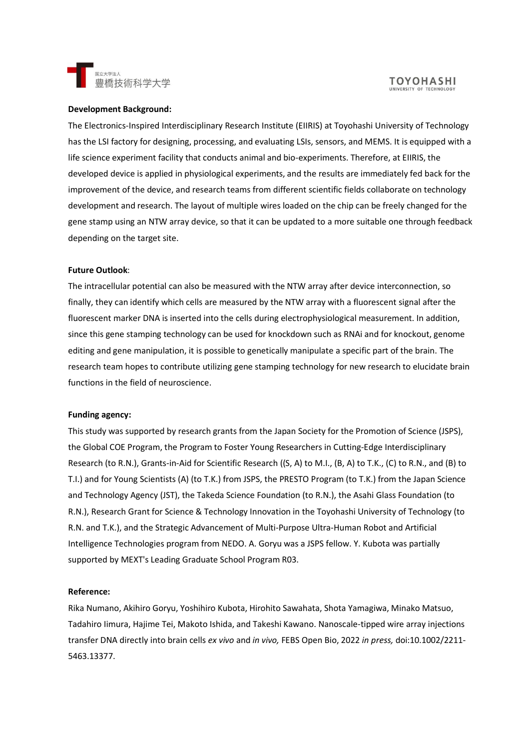

## **Development Background:**

The Electronics-Inspired Interdisciplinary Research Institute (EIIRIS) at Toyohashi University of Technology has the LSI factory for designing, processing, and evaluating LSIs, sensors, and MEMS. It is equipped with a life science experiment facility that conducts animal and bio-experiments. Therefore, at EIIRIS, the developed device is applied in physiological experiments, and the results are immediately fed back for the improvement of the device, and research teams from different scientific fields collaborate on technology development and research. The layout of multiple wires loaded on the chip can be freely changed for the gene stamp using an NTW array device, so that it can be updated to a more suitable one through feedback depending on the target site.

#### **Future Outlook**:

The intracellular potential can also be measured with the NTW array after device interconnection, so finally, they can identify which cells are measured by the NTW array with a fluorescent signal after the fluorescent marker DNA is inserted into the cells during electrophysiological measurement. In addition, since this gene stamping technology can be used for knockdown such as RNAi and for knockout, genome editing and gene manipulation, it is possible to genetically manipulate a specific part of the brain. The research team hopes to contribute utilizing gene stamping technology for new research to elucidate brain functions in the field of neuroscience.

#### **Funding agency:**

This study was supported by research grants from the Japan Society for the Promotion of Science (JSPS), the Global COE Program, the Program to Foster Young Researchers in Cutting-Edge Interdisciplinary Research (to R.N.), Grants-in-Aid for Scientific Research ((S, A) to M.I., (B, A) to T.K., (C) to R.N., and (B) to T.I.) and for Young Scientists (A) (to T.K.) from JSPS, the PRESTO Program (to T.K.) from the Japan Science and Technology Agency (JST), the Takeda Science Foundation (to R.N.), the Asahi Glass Foundation (to R.N.), Research Grant for Science & Technology Innovation in the Toyohashi University of Technology (to R.N. and T.K.), and the Strategic Advancement of Multi-Purpose Ultra-Human Robot and Artificial Intelligence Technologies program from NEDO. A. Goryu was a JSPS fellow. Y. Kubota was partially supported by MEXT's Leading Graduate School Program R03.

## **Reference:**

Rika Numano, Akihiro Goryu, Yoshihiro Kubota, Hirohito Sawahata, Shota Yamagiwa, Minako Matsuo, Tadahiro Iimura, Hajime Tei, Makoto Ishida, and Takeshi Kawano. Nanoscale-tipped wire array injections transfer DNA directly into brain cells *ex vivo* and *in vivo,* FEBS Open Bio, 2022 *in press,* doi:10.1002/2211- 5463.13377.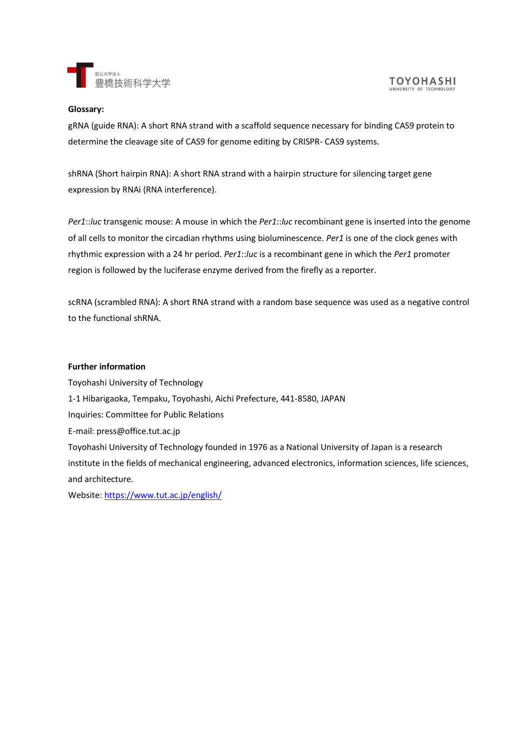

## **Glossary:**

gRNA (guide RNA): A short RNA strand with a scaffold sequence necessary for binding CAS9 protein to determine the cleavage site of CAS9 for genome editing by CRISPR- CAS9 systems.

shRNA (Short hairpin RNA): A short RNA strand with a hairpin structure for silencing target gene expression by RNAi (RNA interference).

*Per1*::*luc* transgenic mouse: A mouse in which the *Per1*::*luc* recombinant gene is inserted into the genome of all cells to monitor the circadian rhythms using bioluminescence. *Per1* is one of the clock genes with rhythmic expression with a 24 hr period. *Per1*::*luc* is a recombinant gene in which the *Per1* promoter region is followed by the luciferase enzyme derived from the firefly as a reporter.

scRNA (scrambled RNA): A short RNA strand with a random base sequence was used as a negative control to the functional shRNA.

# **Further information**

Toyohashi University of Technology 1-1 Hibarigaoka, Tempaku, Toyohashi, Aichi Prefecture, 441-8580, JAPAN Inquiries: Committee for Public Relations E-mail: press@office.tut.ac.jp Toyohashi University of Technology founded in 1976 as a National University of Japan is a research institute in the fields of mechanical engineering, advanced electronics, information sciences, life sciences, and architecture.

Website:<https://www.tut.ac.jp/english/>